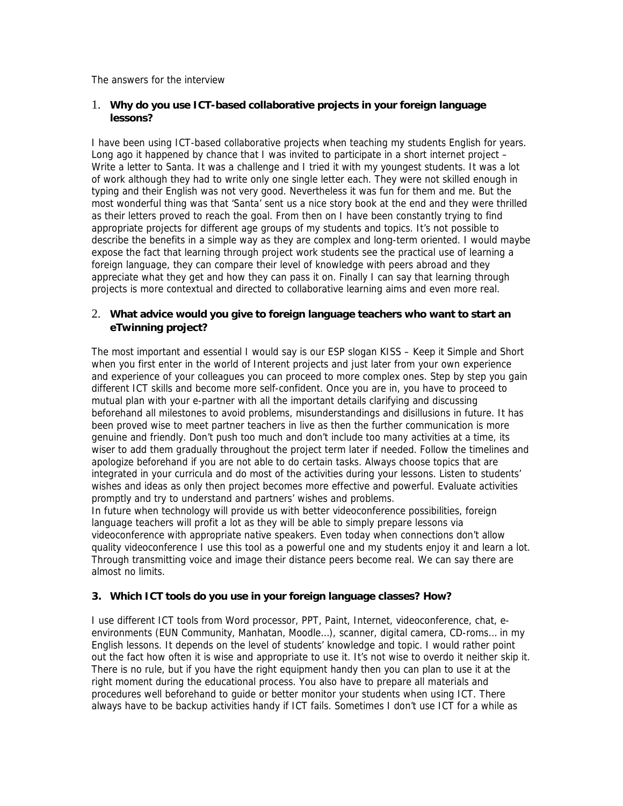The answers for the interview

# 1. **Why do you use ICT-based collaborative projects in your foreign language lessons?**

I have been using ICT-based collaborative projects when teaching my students English for years. Long ago it happened by chance that I was invited to participate in a short internet project – Write a letter to Santa. It was a challenge and I tried it with my youngest students. It was a lot of work although they had to write only one single letter each. They were not skilled enough in typing and their English was not very good. Nevertheless it was fun for them and me. But the most wonderful thing was that 'Santa' sent us a nice story book at the end and they were thrilled as their letters proved to reach the goal. From then on I have been constantly trying to find appropriate projects for different age groups of my students and topics. It's not possible to describe the benefits in a simple way as they are complex and long-term oriented. I would maybe expose the fact that learning through project work students see the practical use of learning a foreign language, they can compare their level of knowledge with peers abroad and they appreciate what they get and how they can pass it on. Finally I can say that learning through projects is more contextual and directed to collaborative learning aims and even more real.

# 2. **What advice would you give to foreign language teachers who want to start an eTwinning project?**

The most important and essential I would say is our ESP slogan KISS – Keep it Simple and Short when you first enter in the world of Interent projects and just later from your own experience and experience of your colleagues you can proceed to more complex ones. Step by step you gain different ICT skills and become more self-confident. Once you are in, you have to proceed to mutual plan with your e-partner with all the important details clarifying and discussing beforehand all milestones to avoid problems, misunderstandings and disillusions in future. It has been proved wise to meet partner teachers in live as then the further communication is more genuine and friendly. Don't push too much and don't include too many activities at a time, its wiser to add them gradually throughout the project term later if needed. Follow the timelines and apologize beforehand if you are not able to do certain tasks. Always choose topics that are integrated in your curricula and do most of the activities during your lessons. Listen to students' wishes and ideas as only then project becomes more effective and powerful. Evaluate activities promptly and try to understand and partners' wishes and problems.

In future when technology will provide us with better videoconference possibilities, foreign language teachers will profit a lot as they will be able to simply prepare lessons via videoconference with appropriate native speakers. Even today when connections don't allow quality videoconference I use this tool as a powerful one and my students enjoy it and learn a lot. Through transmitting voice and image their distance peers become real. We can say there are almost no limits.

## **3. Which ICT tools do you use in your foreign language classes? How?**

I use different ICT tools from Word processor, PPT, Paint, Internet, videoconference, chat, eenvironments (EUN Community, Manhatan, Moodle…), scanner, digital camera, CD-roms… in my English lessons. It depends on the level of students' knowledge and topic. I would rather point out the fact how often it is wise and appropriate to use it. It's not wise to overdo it neither skip it. There is no rule, but if you have the right equipment handy then you can plan to use it at the right moment during the educational process. You also have to prepare all materials and procedures well beforehand to guide or better monitor your students when using ICT. There always have to be backup activities handy if ICT fails. Sometimes I don't use ICT for a while as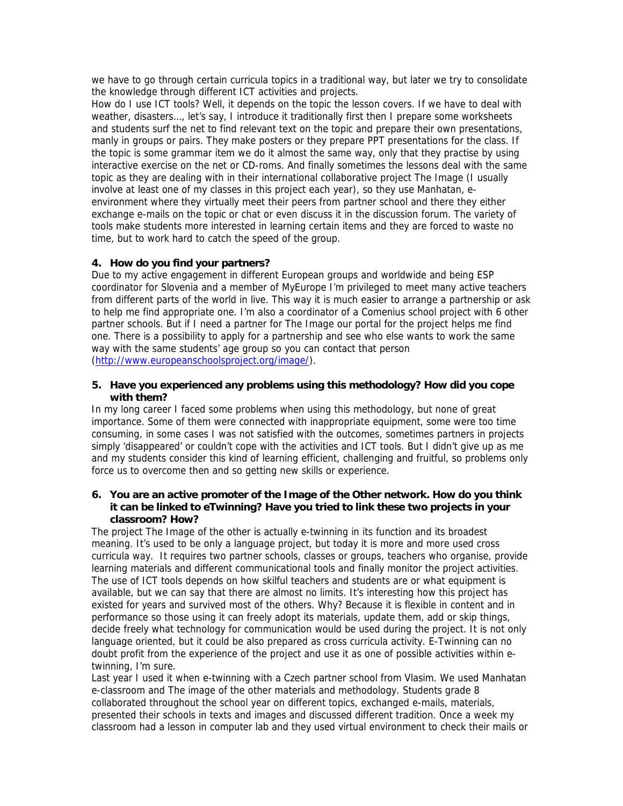we have to go through certain curricula topics in a traditional way, but later we try to consolidate the knowledge through different ICT activities and projects.

How do I use ICT tools? Well, it depends on the topic the lesson covers. If we have to deal with weather, disasters…, let's say, I introduce it traditionally first then I prepare some worksheets and students surf the net to find relevant text on the topic and prepare their own presentations, manly in groups or pairs. They make posters or they prepare PPT presentations for the class. If the topic is some grammar item we do it almost the same way, only that they practise by using interactive exercise on the net or CD-roms. And finally sometimes the lessons deal with the same topic as they are dealing with in their international collaborative project The Image (I usually involve at least one of my classes in this project each year), so they use Manhatan, eenvironment where they virtually meet their peers from partner school and there they either exchange e-mails on the topic or chat or even discuss it in the discussion forum. The variety of tools make students more interested in learning certain items and they are forced to waste no time, but to work hard to catch the speed of the group.

## **4. How do you find your partners?**

Due to my active engagement in different European groups and worldwide and being ESP coordinator for Slovenia and a member of MyEurope I'm privileged to meet many active teachers from different parts of the world in live. This way it is much easier to arrange a partnership or ask to help me find appropriate one. I'm also a coordinator of a Comenius school project with 6 other partner schools. But if I need a partner for The Image our portal for the project helps me find one. There is a possibility to apply for a partnership and see who else wants to work the same way with the same students' age group so you can contact that person (http://www.europeanschoolsproject.org/image/).

#### **5. Have you experienced any problems using this methodology? How did you cope with them?**

In my long career I faced some problems when using this methodology, but none of great importance. Some of them were connected with inappropriate equipment, some were too time consuming, in some cases I was not satisfied with the outcomes, sometimes partners in projects simply 'disappeared' or couldn't cope with the activities and ICT tools. But I didn't give up as me and my students consider this kind of learning efficient, challenging and fruitful, so problems only force us to overcome then and so getting new skills or experience.

#### **6. You are an active promoter of the Image of the Other network. How do you think it can be linked to eTwinning? Have you tried to link these two projects in your classroom? How?**

The project The Image of the other is actually e-twinning in its function and its broadest meaning. It's used to be only a language project, but today it is more and more used cross curricula way. It requires two partner schools, classes or groups, teachers who organise, provide learning materials and different communicational tools and finally monitor the project activities. The use of ICT tools depends on how skilful teachers and students are or what equipment is available, but we can say that there are almost no limits. It's interesting how this project has existed for years and survived most of the others. Why? Because it is flexible in content and in performance so those using it can freely adopt its materials, update them, add or skip things, decide freely what technology for communication would be used during the project. It is not only language oriented, but it could be also prepared as cross curricula activity. E-Twinning can no doubt profit from the experience of the project and use it as one of possible activities within etwinning, I'm sure.

Last year I used it when e-twinning with a Czech partner school from Vlasim. We used Manhatan e-classroom and The image of the other materials and methodology. Students grade 8 collaborated throughout the school year on different topics, exchanged e-mails, materials, presented their schools in texts and images and discussed different tradition. Once a week my classroom had a lesson in computer lab and they used virtual environment to check their mails or